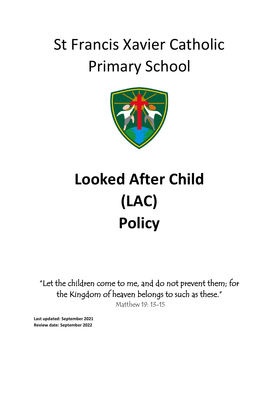# St Francis Xavier Catholic Primary School



# **Looked After Child (LAC) Policy**

"Let the children come to me, and do not prevent them; for the Kingdom of heaven belongs to such as these." Matthew 19: 13-15

**Last updated: September 2021 Review date: September 2022**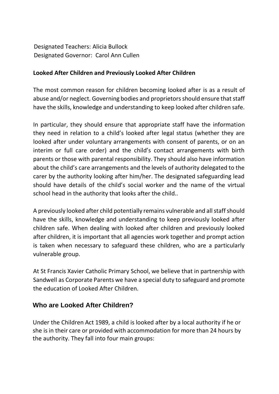Designated Teachers: Alicia Bullock Designated Governor: Carol Ann Cullen

#### **Looked After Children and Previously Looked After Children**

The most common reason for children becoming looked after is as a result of abuse and/or neglect. Governing bodies and proprietors should ensure that staff have the skills, knowledge and understanding to keep looked after children safe.

In particular, they should ensure that appropriate staff have the information they need in relation to a child's looked after legal status (whether they are looked after under voluntary arrangements with consent of parents, or on an interim or full care order) and the child's contact arrangements with birth parents or those with parental responsibility. They should also have information about the child's care arrangements and the levels of authority delegated to the carer by the authority looking after him/her. The designated safeguarding lead should have details of the child's social worker and the name of the virtual school head in the authority that looks after the child..

A previously looked after child potentially remains vulnerable and all staff should have the skills, knowledge and understanding to keep previously looked after children safe. When dealing with looked after children and previously looked after children, it is important that all agencies work together and prompt action is taken when necessary to safeguard these children, who are a particularly vulnerable group.

At St Francis Xavier Catholic Primary School, we believe that in partnership with Sandwell as Corporate Parents we have a special duty to safeguard and promote the education of Looked After Children.

### **Who are Looked After Children?**

Under the Children Act 1989, a child is looked after by a local authority if he or she is in their care or provided with accommodation for more than 24 hours by the authority. They fall into four main groups: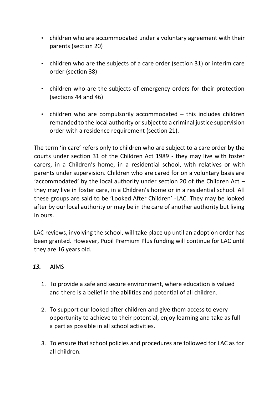- children who are accommodated under a voluntary agreement with their parents (section 20)
- children who are the subjects of a care order (section 31) or interim care order (section 38)
- children who are the subjects of emergency orders for their protection (sections 44 and 46)
- children who are compulsorily accommodated this includes children remanded to the local authority or subject to a criminal justice supervision order with a residence requirement (section 21).

The term 'in care' refers only to children who are subject to a care order by the courts under section 31 of the Children Act 1989 - they may live with foster carers, in a Children's home, in a residential school, with relatives or with parents under supervision. Children who are cared for on a voluntary basis are 'accommodated' by the local authority under section 20 of the Children Act – they may live in foster care, in a Children's home or in a residential school. All these groups are said to be 'Looked After Children' -LAC. They may be looked after by our local authority or may be in the care of another authority but living in ours.

LAC reviews, involving the school, will take place up until an adoption order has been granted. However, Pupil Premium Plus funding will continue for LAC until they are 16 years old.

#### *13.* AIMS

- 1. To provide a safe and secure environment, where education is valued and there is a belief in the abilities and potential of all children.
- 2. To support our looked after children and give them access to every opportunity to achieve to their potential, enjoy learning and take as full a part as possible in all school activities.
- 3. To ensure that school policies and procedures are followed for LAC as for all children.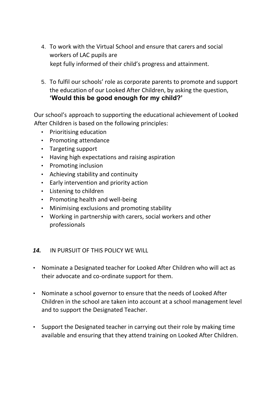- 4. To work with the Virtual School and ensure that carers and social workers of LAC pupils are kept fully informed of their child's progress and attainment.
- 5. To fulfil our schools' role as corporate parents to promote and support the education of our Looked After Children, by asking the question, **'Would this be good enough for my child?'**

Our school's approach to supporting the educational achievement of Looked After Children is based on the following principles:

- Prioritising education
- Promoting attendance
- Targeting support
- Having high expectations and raising aspiration
- Promoting inclusion
- Achieving stability and continuity
- Early intervention and priority action
- Listening to children
- Promoting health and well-being
- Minimising exclusions and promoting stability
- Working in partnership with carers, social workers and other professionals

### *14.* IN PURSUIT OF THIS POLICY WE WILL

- Nominate a Designated teacher for Looked After Children who will act as their advocate and co-ordinate support for them.
- Nominate a school governor to ensure that the needs of Looked After Children in the school are taken into account at a school management level and to support the Designated Teacher.
- Support the Designated teacher in carrying out their role by making time available and ensuring that they attend training on Looked After Children.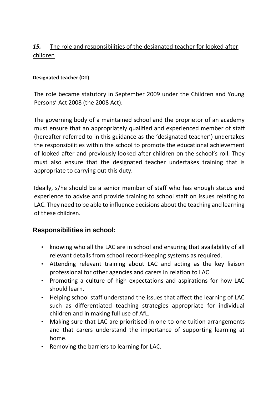# *15.* The role and responsibilities of the designated teacher for looked after children

#### **Designated teacher (DT)**

The role became statutory in September 2009 under the Children and Young Persons' Act 2008 (the 2008 Act).

The governing body of a maintained school and the proprietor of an academy must ensure that an appropriately qualified and experienced member of staff (hereafter referred to in this guidance as the 'designated teacher') undertakes the responsibilities within the school to promote the educational achievement of looked-after and previously looked-after children on the school's roll. They must also ensure that the designated teacher undertakes training that is appropriate to carrying out this duty.

Ideally, s/he should be a senior member of staff who has enough status and experience to advise and provide training to school staff on issues relating to LAC. They need to be able to influence decisions about the teaching and learning of these children.

# **Responsibilities in school:**

- knowing who all the LAC are in school and ensuring that availability of all relevant details from school record-keeping systems as required.
- Attending relevant training about LAC and acting as the key liaison professional for other agencies and carers in relation to LAC
- Promoting a culture of high expectations and aspirations for how LAC should learn.
- Helping school staff understand the issues that affect the learning of LAC such as differentiated teaching strategies appropriate for individual children and in making full use of AfL.
- Making sure that LAC are prioritised in one-to-one tuition arrangements and that carers understand the importance of supporting learning at home.
- Removing the barriers to learning for LAC.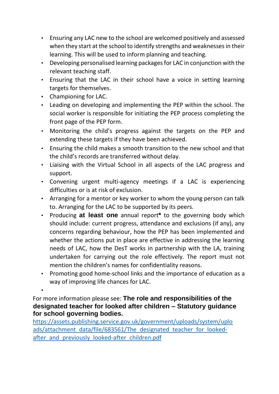- Ensuring any LAC new to the school are welcomed positively and assessed when they start at the school to identify strengths and weaknesses in their learning. This will be used to inform planning and teaching.
- Developing personalised learning packages for LAC in conjunction with the relevant teaching staff.
- Ensuring that the LAC in their school have a voice in setting learning targets for themselves.
- Championing for LAC.

•

- Leading on developing and implementing the PEP within the school. The social worker is responsible for initiating the PEP process completing the front page of the PEP form.
- Monitoring the child's progress against the targets on the PEP and extending these targets if they have been achieved.
- Ensuring the child makes a smooth transition to the new school and that the child's records are transferred without delay.
- Liaising with the Virtual School in all aspects of the LAC progress and support.
- Convening urgent multi-agency meetings if a LAC is experiencing difficulties or is at risk of exclusion.
- Arranging for a mentor or key worker to whom the young person can talk to. Arranging for the LAC to be supported by its peers.
- Producing **at least one** annual report**\*** to the governing body which should include: current progress, attendance and exclusions (if any), any concerns regarding behaviour, how the PEP has been implemented and whether the actions put in place are effective in addressing the learning needs of LAC, how the DesT works in partnership with the LA, training undertaken for carrying out the role effectively. The report must not mention the children's names for confidentiality reasons.
- Promoting good home-school links and the importance of education as a way of improving life chances for LAC.

For more information please see: **The role and responsibilities of the designated teacher for looked after children – Statutory guidance for school governing bodies.** 

[https://assets.publishing.service.gov.uk/government/uploads/system/uplo](https://assets.publishing.service.gov.uk/government/uploads/system/uploads/attachment_data/file/683561/The_designated_teacher_for_looked-after_and_previously_looked-after_children.pdf) [ads/attachment\\_data/file/683561/The\\_designated\\_teacher\\_for\\_looked](https://assets.publishing.service.gov.uk/government/uploads/system/uploads/attachment_data/file/683561/The_designated_teacher_for_looked-after_and_previously_looked-after_children.pdf)after and previously looked-after children.pdf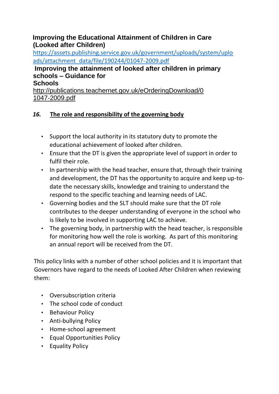## **Improving the Educational Attainment of Children in Care (Looked after Children)**

[https://assets.publishing.service.gov.uk/government/uploads/system/uplo](https://assets.publishing.service.gov.uk/government/uploads/system/uploads/attachment_data/file/190244/01047-2009.pdf) [ads/attachment\\_data/file/190244/01047-2009.pdf](https://assets.publishing.service.gov.uk/government/uploads/system/uploads/attachment_data/file/190244/01047-2009.pdf)

# **[I](http://publications.everychildmatters.gov.uk/eOrderingDownload/DCSF-00523-2009.pdf)mproving the attainment of looked after children in primary schools – Guidance for**

**Schools** 

[http://publications.teachernet.gov.uk/eOrderingDownload/0](http://publications.teachernet.gov.uk/eOrderingDownload/01047-2009.pdf) [1047-2009.pdf](http://publications.teachernet.gov.uk/eOrderingDownload/01047-2009.pdf)

# *16.* **The role and responsibility of the governing body**

- Support the local authority in its statutory duty to promote the educational achievement of looked after children.
- Ensure that the DT is given the appropriate level of support in order to fulfil their role.
- In partnership with the head teacher, ensure that, through their training and development, the DT has the opportunity to acquire and keep up-todate the necessary skills, knowledge and training to understand the respond to the specific teaching and learning needs of LAC.
- Governing bodies and the SLT should make sure that the DT role contributes to the deeper understanding of everyone in the school who is likely to be involved in supporting LAC to achieve.
- The governing body, in partnership with the head teacher, is responsible for monitoring how well the role is working. As part of this monitoring an annual report will be received from the DT.

This policy links with a number of other school policies and it is important that Governors have regard to the needs of Looked After Children when reviewing them:

- Oversubscription criteria
- The school code of conduct
- Behaviour Policy
- Anti-bullying Policy
- Home-school agreement
- Equal Opportunities Policy
- Equality Policy